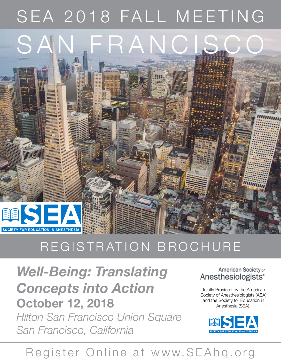# SEA 2018 FALL MEETING



# REGISTRATION BROCHURE

*Well-Being: Translating Concepts into Action* **October 12, 2018** *Hilton San Francisco Union Square San Francisco, California*

# American Society of Anesthesiologists<sup>®</sup>

Jointly Provided by the American Society of Anesthesiologists (ASA) and the Society for Education in Anesthesia (SEA).



# Register Online at www.SEAhq.org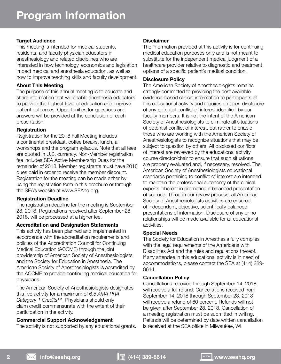# **Target Audience**

This meeting is intended for medical students, residents, and faculty physician educators in anesthesiology and related disciplines who are interested in how technology, economics and legislation impact medical and anesthesia education, as well as how to improve teaching skills and faculty development.

# **About This Meeting**

The purpose of this annual meeting is to educate and share information that will enable anesthesia educators to provide the highest level of education and improve patient outcomes. Opportunities for questions and answers will be provided at the conclusion of each presentation.

# **Registration**

Registration for the 2018 Fall Meeting includes a continental breakfast, coffee breaks, lunch, all workshops and the program syllabus. Note that all fees are quoted in U.S. currency. Non-Member registration fee includes SEA Active Membership Dues for the remainder of 2018. Member registrants must have 2018 dues paid in order to receive the member discount. Registration for the meeting can be made either by using the registration form in this brochure or through the SEA's website at www.SEAhq.org.

### **Registration Deadline**

The registration deadline for the meeting is September 28, 2018. Registrations received after September 28, 2018, will be processed at a higher fee.

### **Accreditation and Designation Statements**

This activity has been planned and implemented in accordance with the accreditation requirements and policies of the Accreditation Council for Continuing Medical Education (ACCME) through the joint providership of American Society of Anesthesiologists and the Society for Education in Anesthesia. The American Society of Anesthesiologists is accredited by the ACCME to provide continuing medical education for physicians.

The American Society of Anesthesiologists designates this live activity for a maximum of 6.5 *AMA PRA Category 1 Credits™*. Physicians should only claim credit commensurate with the extent of their participation in the activity.

# **Commercial Support Acknowledgement**

The activity is not supported by any educational grants.

# **Disclaimer**

The information provided at this activity is for continuing medical education purposes only and is not meant to substitute for the independent medical judgment of a healthcare provider relative to diagnostic and treatment options of a specific patient's medical condition.

# **Disclosure Policy**

The American Society of Anesthesiologists remains strongly committed to providing the best available evidence-based clinical information to participants of this educational activity and requires an open disclosure of any potential conflict of interest identified by our faculty members. It is not the intent of the American Society of Anesthesiologists to eliminate all situations of potential conflict of interest, but rather to enable those who are working with the American Society of Anesthesiologists to recognize situations that may be subject to question by others. All disclosed conflicts of interest are reviewed by the educational activity course director/chair to ensure that such situations are properly evaluated and, if necessary, resolved. The American Society of Anesthesiologists educational standards pertaining to conflict of interest are intended to maintain the professional autonomy of the clinical experts inherent in promoting a balanced presentation of science. Through our review process, all American Society of Anesthesiologists activities are ensured of independent, objective, scientifically balanced presentations of information. Disclosure of any or no relationships will be made available for all educational activities.

### **Special Needs**

The Society for Education in Anesthesia fully complies with the legal requirements of the Americans with Disabilities Act and the rules and regulations thereof. If any attendee in this educational activity is in need of accommodations, please contact the SEA at (414) 389- 8614.

# **Cancellation Policy**

Cancellations received through September 14, 2018, will receive a full refund. Cancellations received from September 14, 2018 through September 28, 2018 will receive a refund of 60 percent. Refunds will not be given after September 28, 2018. Cancellation of a meeting registration must be submitted in writing. Refunds will be determined by date written cancellation is received at the SEA office in Milwaukee, WI.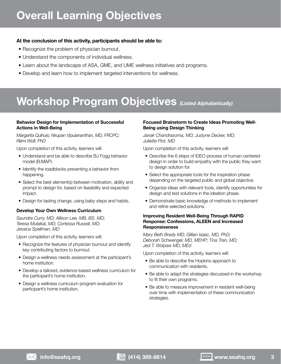# **Overall Learning Objectives**

# **At the conclusion of this activity, participants should be able to:**

- Recognize the problem of physician burnout.
- Understand the components of individual wellness.
- Learn about the landscape of ASA, GME, and UME wellness initiatives and programs.
- Develop and learn how to implement targeted interventions for wellness.

# **Workshop Program Objectives** *(Listed Alphabetically)*

### **Behavior Design for Implementation of Successful Actions in Well-Being**

*Margarita Quihuis; Nirupan Vipulananthan, MD, FRCPC; Rémi Wolf, PhD*

Upon completion of this activity, learners will:

- Understand and be able to describe BJ Fogg behavior model (B:MAP).
- Identify the roadblocks preventing a behavior from happening.
- Select the best element(s) between motivation, ability and prompt to design for, based on feasibility and expected impact.
- Design for lasting change, using baby steps and habits.

# **Develop Your Own Wellness Curriculum**

*Saundra Curry, MD; Allison Lee, MB, BS, MD; Teresa Mulaikal, MD; Cortessa Russell, MD; Jessica Spellman, MD*

Upon completion of this activity, learners will:

- Recognize the features of physician burnout and identify key contributing factors to burnout.
- Design a wellness needs assessment at the participant's home institution.
- Develop a tailored, evidence-based wellness curriculum for the participant's home institution.
- Design a wellness curriculum program evaluation for participant's home institution.

# **Focused Brainstorm to Create Ideas Promoting Well-Being using Design Thinking**

*Janak Chandrasoma, MD; Justyne Decker, MD; Juliette Piot, MD*

Upon completion of this activity, learners will:

- Describe the 6 steps of IDEO process of human-centered design in order to build empathy with the public they want to design solution for.
- Select the appropriate tools for the inspiration phase depending on the targeted public and global objective.
- Organize ideas with relevant tools, identify opportunities for design and test solutions in the ideation phase.
- Demonstrate basic knowledge of methods to implement and refine selected solutions.

### **Improving Resident Well-Being Through RAPID Response: Confessions, ALEEN and Increased Responsiveness**

*Mary Beth Brady MD; Gillian Isaac, MD, PhD; Deborah Schwengel, MD, MEHP; Tina Tran, MD; Jed T. Wolpaw MD, MEd* 

Upon completion of this activity, learners will:

- Be able to describe the Hopkins approach to communication with residents.
- Be able to adapt the strategies discussed in the workshop to fit their own programs.
- Be able to measure improvement in resident well-being over time with implementation of these communication strategies.

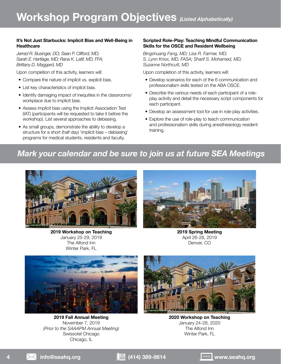### **It's Not Just Starbucks: Implicit Bias and Well-Being in Healthcare**

*Jerrad R. Businger, DO; Sean P. Clifford, MD; Sarah E. Hartlage, MD; Rana K. Latif, MD, FFA; Brittany D. Maggard, MD*

Upon completion of this activity, learners will:

- Compare the nature of implicit vs. explicit bias.
- List key characteristics of implicit bias.
- Identify damaging impact of inequities in the classrooms/ workplace due to implicit bias.
- Assess implicit bias using the Implicit Association Test (IAT) (participants will be requested to take it before the workshop). List several approaches to debiasing.
- As small groups, demonstrate the ability to develop a structure for a short (half day) 'implicit bias – debiasing' programs for medical students, residents and faculty.

#### **Scripted Role-Play: Teaching Mindful Communication Skills for the OSCE and Resident Wellbeing**

*Bingshuang Fang, MD; Lisa R. Farmer, MD; S. Lynn Knox, MD, FASA; Sharif S. Mohamed, MD; Suzanne Northcutt, MD*

Upon completion of this activity, learners will:

- Develop scenarios for each of the 6 communication and professionalism skills tested on the ABA OSCE.
- Describe the various needs of each participant of a roleplay activity and detail the necessary script components for each participant.
- Develop an assessment tool for use in role-play activities.
- Explore the use of role-play to teach communication and professionalism skills during anesthesiology resident training.

# *Mark your calendar and be sure to join us at future SEA Meetings*



**2019 Workshop on Teaching** January 25-29, 2019 The Alfond Inn Winter Park, FL



**2019 Spring Meeting** April 26-28, 2019 Denver, CO



**2019 Fall Annual Meeting** November 7, 2019 *(Prior to the SAAAPM Annual Meeting)* Swissotel Chicago Chicago, IL



**2020 Workshop on Teaching** January 24-28, 2020 The Alfond Inn Winter Park, FL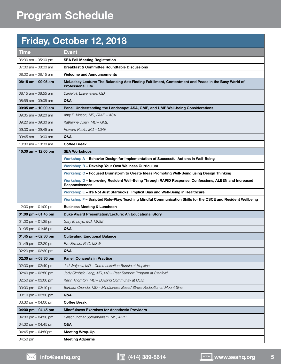# **Friday, October 12, 2018**

| <b>Time</b>                           | Event                                                                                                                            |  |
|---------------------------------------|----------------------------------------------------------------------------------------------------------------------------------|--|
| 06:30 am - 05:00 pm                   | <b>SEA Fall Meeting Registration</b>                                                                                             |  |
| $07:00$ am $-08:00$ am                | <b>Breakfast &amp; Committee Roundtable Discussions</b>                                                                          |  |
| 08:00 am - 08:15 am                   | <b>Welcome and Announcements</b>                                                                                                 |  |
| 08:15 am - 09:05 am                   | McLeskey Lecture: The Balancing Act: Finding Fulfillment, Contentment and Peace in the Busy World of<br><b>Professional Life</b> |  |
| 08:15 am - 08:55 am                   | Daniel H. Lowenstein, MD                                                                                                         |  |
| 08:55 am - 09:05 am                   | Q&A                                                                                                                              |  |
| 09:05 am - 10:00 am                   | Panel: Understanding the Landscape: ASA, GME, and UME Well-being Considerations                                                  |  |
| 09:05 am - 09:20 am                   | Amy E. Vinson, MD, FAAP - ASA                                                                                                    |  |
| 09:20 am - 09:30 am                   | Katherine Julian, MD - GME                                                                                                       |  |
| 09:30 am - 09:45 am                   | Howard Rubin, MD - UME                                                                                                           |  |
| 09:45 am - 10:00 am                   | Q&A                                                                                                                              |  |
| 10:00 am $-$ 10:30 am                 | <b>Coffee Break</b>                                                                                                              |  |
| 10:30 am - 12:00 pm                   | <b>SEA Workshops</b>                                                                                                             |  |
|                                       | Workshop A - Behavior Design for Implementation of Successful Actions in Well-Being                                              |  |
|                                       | <b>Workshop B - Develop Your Own Wellness Curriculum</b>                                                                         |  |
|                                       | Workshop C - Focused Brainstorm to Create Ideas Promoting Well-Being using Design Thinking                                       |  |
|                                       | Workshop D - Improving Resident Well-Being Through RAPID Response: Confessions, ALEEN and Increased<br><b>Responsiveness</b>     |  |
|                                       | Workshop E - It's Not Just Starbucks: Implicit Bias and Well-Being in Healthcare                                                 |  |
|                                       | Workshop F - Scripted Role-Play: Teaching Mindful Communication Skills for the OSCE and Resident Wellbeing                       |  |
| 12:00 pm $-01:00$ pm                  | <b>Business Meeting &amp; Luncheon</b>                                                                                           |  |
| 01:00 pm $-$ 01:45 pm                 | Duke Award Presentation/Lecture: An Educational Story                                                                            |  |
| 01:00 pm $-$ 01:35 pm                 | Gary E. Loyd, MD, MMM                                                                                                            |  |
| 01:35 pm $-$ 01:45 pm                 | Q&A                                                                                                                              |  |
| 01:45 pm $-$ 02:30 pm                 | <b>Cultivating Emotional Balance</b>                                                                                             |  |
| 01:45 pm $-$ 02:20 pm                 | Eve Ekman, PhD, MSW                                                                                                              |  |
| 02:20 pm - 02:30 pm                   | Q&A                                                                                                                              |  |
| 02:30 pm - 03:30 pm                   | <b>Panel: Concepts in Practice</b>                                                                                               |  |
| 02:30 pm $-$ 02:40 pm                 | Jed Wolpaw, MD - Communication Bundle at Hopkins                                                                                 |  |
| 02:40 pm $-$ 02:50 pm                 | Jody Cimbalo Leng, MD, MS - Peer Support Program at Stanford                                                                     |  |
| 02:50 pm $-$ 03:00 pm                 | Kevin Thornton, MD - Building Community at UCSF                                                                                  |  |
| $03:00 \text{ pm} - 03:10 \text{ pm}$ | Barbara Orlando, MD - Mindfulness Based Stress Reduction at Mount Sinai                                                          |  |
| $03:10$ pm $-03:30$ pm                | Q&A                                                                                                                              |  |
| 03:30 pm $-$ 04:00 pm                 | <b>Coffee Break</b>                                                                                                              |  |
| 04:00 pm – 04:45 pm                   | <b>Mindfulness Exercises for Anesthesia Providers</b>                                                                            |  |
| 04:00 pm $-$ 04:30 pm                 | Balachundhar Subramaniam, MD, MPH                                                                                                |  |
| 04:30 pm $-$ 04:45 pm                 | Q&A                                                                                                                              |  |
| 04:45 pm $-$ 04:50pm                  | <b>Meeting Wrap-Up</b>                                                                                                           |  |
| 04:50 pm                              | <b>Meeting Adjourns</b>                                                                                                          |  |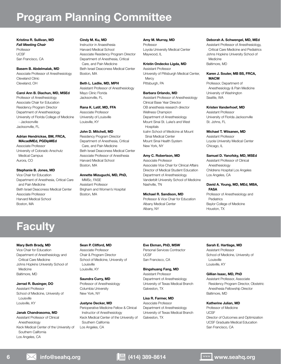# **Program Planning Committee**

**Kristina R. Sullivan, MD** *Fall Meeting Chair* Professor **UCSE** San Francisco, CA

#### **Basem B. Abdelmalak, MD**

Associate Professor of Anesthesiology Cleveland Clinic Cleveland, OH

#### **Carol Ann B. Diachun, MD, MSEd**

Professor of Anesthesiology Associate Chair for Education Residency Program Director Department of Anesthesiology University of Florida College of Medicine - Jacksonville Jacksonville, FL

#### **Adrian Hendrickse, BM, FRCA, MAcadMEd, PGDipMEd**

Associate Professor University of Colorado Anschutz Medical Campus Aurora, CO

#### **Stephanie B. Jones, MD**

Vice Chair for Education Department of Anesthesia, Critical Care and Pain Medicine Beth Israel Deaconess Medical Center Associate Professor Harvard Medical School Boston, MA

#### **Cindy M. Ku, MD**

Instructor in Anaesthesia Harvard Medical School Associate Residency Program Director Department of Anesthesia, Critical Care, and Pain Medicine Beth Israel Deaconess Medical Center Boston, MA

#### **Beth L. Ladlie, MD, MPH**

Assistant Professor of Anesthesiology Mayo Clinic Florida Jacksonville, FL

#### **Rana K. Latif, MD, FFA**

Associate Professor University of Louisville Louisville, KY

#### **John D. Mitchell, MD**

Residency Program Director Department of Anesthesia, Critical Care, and Pain Medicine Beth Israel Deaconess Medical Center Associate Professor of Anesthesia Harvard Medical School Boston, MA

### **Annette Mizuguchi, MD, PhD,**

MMSc, FASE Assistant Professor Brigham and Women's Hospital Boston, MA

#### **Amy M. Murray, MD**

Professor Loyola University Medical Center Maywood, IL

#### **Kristin Ondecko Ligda, MD**

Assistant Professor University of Pittsburgh Medical Center, **Mercy** Pittsburgh, PA

#### **Barbara Orlando, MD**

Assistant Professor of Anesthesiology Clinical Base Year Director OB anesthesia research director Wellness Champion Department of Anesthesiology Mount Sinai St. Luke's and West **Hospitals** Icahn School of Medicine at Mount Sinai Medical Center Mount Sinai Health System New York, NY

#### **Amy C. Robertson, MD**

Associate Professor Associate Vice Chair for Clinical Affairs Director of Medical Student Education Department of Anesthesiology Vanderbilt University School of Medicine Nashville, TN

#### **Michael R. Sandison, MD**

Professor & Vice Chair for Education Albany Medical Center Albany, NY

#### **Deborah A. Schwengel, MD, MEd**

Assistant Professor of Anesthesiology, Critical Care Medicine and Pediatrics Johns Hopkins University School of Medicine Baltimore, MD

#### **Karen J. Souter, MB BS, FRCA, MACM**

Professor, Department of Anesthesiology & Pain Medicine University of Washington Seattle, WA

#### **Kristen Vanderhoef, MD**

Assistant Professor University of Florida Jacksonville St. Johns, FL

#### **Michael T. Wiisanen, MD**

Assistant Professor Loyola University Medical Center Chicago, IL

#### **Samuel D. Yanofsky, MD, MSEd**

Assistant Professor of Clinical Anesthesiology Childrens Hospital Los Angeles Los Angeles, CA

#### **David A. Young, MD, MEd, MBA, FASA**

Professor of Anesthesiology and Pediatrics Baylor College of Medicine Houston, TX

# **Faculty**

#### **Mary Beth Brady, MD**

Vice Chair for Education Department of Anesthesiology and Critical Care Medicine Johns Hopkins University School of Medicine Baltimore, MD

#### **Jerrad R. Businger, DO**

Assistant Professor School of Medicine, University of Louisville Louisville, KY

#### **Janak Chandrasoma, MD**

Assistant Professor of Clinical Anesthesiology Keck Medical Center of the University of Southern California Los Angeles, CA

#### **Sean P. Clifford, MD**

Associate Professor Chair & Program Director School of Medicine, University of Louisville Louisville, KY

**Saundra Curry, MD** Professor of Anesthesiology Columbia University New York, NY

Southern California Los Angeles, CA

#### **Justyne Decker, MD** Perioperative Medicine Fellow & Clinical Instructor of Anesthesiology Keck Medical Center of the University of

**Eve Ekman, PhD, MSW** Personal Services Contractor UCSF San Francisco, CA

#### **Bingshuang Fang, MD** Assistant Professor Department of Anesthesiology University of Texas Medical Branch Galveston, TX

**Lisa R. Farmer, MD**

Associate Professor Department of Anesthesiology University of Texas Medical Branch Galveston, TX

#### **Sarah E. Hartlage, MD**

Assistant Professor School of Medicine, University of Louisville Louisville, KY

#### **Gillian Isaac, MD, PhD**

Assistant Professor, Associate Residency Program Director, Obstetric Anesthesia Fellowship Director Baltimore, MD

#### **Katherine Julian, MD**

Professor of Medicine **LICSE** Director of Outcomes and Optimization UCSF Graduate Medical Education San Francisco, CA

**6 info@seahq.org (414) 389-8614 www.seahq.org**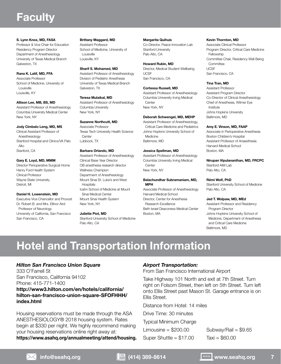# **Faculty**

#### **S. Lynn Knox, MD, FASA**

Professor & Vice Chair for Education Residency Program Director Department of Anesthesiology University of Texas Medical Branch Galveston, TX

**Rana K. Latif, MD, FFA** Associate Professor School of Medicine, University of Louisville Louisville, KY

#### **Allison Lee, MB, BS, MD**

Assistant Professor of Anesthesiology Columbia University Medical Center New York, NY

#### **Jody Cimbalo Leng, MD, MS**

Clinical Assistant Professor of Anesthesiology Stanford Hospital and Clinics/VA Palo Alto Stanford, CA

#### **Gary E. Loyd, MD, MMM**

Director Perioperative Surgical Home Henry Ford Health System Clinical Professor Wayne State University Detroit, MI

#### **Daniel H. Lowenstein, MD**

Executive Vice Chancellor and Provost Dr. Robert B. and Mrs. Ellinor Aird Professor of Neurology University of California, San Francisco San Francisco, CA

#### **Brittany Maggard, MD**

Assistant Professor School of Medicine, University of Louisville Louisville, KY

#### **Sharif S. Mohamed, MD**

Assistant Professor of Anesthesiology Division of Pediatric Anesthesia University of Texas Medical Branch Galveston, TX

#### **Teresa Mulaikal, MD**

Assistant Professor of Anesthesiology Columbia University New York, NY

#### **Suzanne Northcutt, MD**

Associate Professor Texas Tech University Health Science **Center** Lubbock, TX

#### **Barbara Orlando, MD**

Assistant Professor of Anesthesiology Clinical Base Year Director OB anesthesia research director Wellness Champion Department of Anesthesiology Mount Sinai St. Luke's and West **Hospitals** Icahn School of Medicine at Mount Sinai Medical Center Mount Sinai Health System New York, NY

#### **Juliette Piot, MD**

Stanford University School of Medicine Palo Alto, CA

#### **Margarita Quihuis**

Co-Director, Peace Innovation Lab Stanford University Palo Alto, CA

**Howard Rubin, MD** Director, Medical Student Wellbeing **UCSE** San Francisco, CA

# **Cortessa Russell, MD**

Assistant Professor of Anesthesiology Columbia University Irving Medical **Center** New York, NY

#### **Deborah Schwengel, MD, MEHP**

Assistant Professor of Anesthesiology, Critical Care Medicine and Pediatrics Johns Hopkins University School of Medicine Baltimore, MD

#### **Jessica Spellman, MD**

Assistant Professor of Anesthesiology Columbia University Irving Medical **Center** New York, NY

#### **Balachundhar Subramaniam, MD, MPH**

Associate Professor of Anesthesiology Harvard Medical School Director, Center for Anesthesia Research Excellence Beth Israel Deaconess Medical Center Boston, MA

#### **Kevin Thornton, MD**

Associate Clinical Professor Program Director, Critical Care Medicine Fellowship Committee Chair, Residency Well Being **Committee UCSE** San Francisco, CA

#### **Tina Tran, MD**

Assistant Professor Assistant Program Director Co-Director of Clinical Anesthesiology Chief of Anesthesia, Wilmer Eye Institute Johns Hopkins University Baltimore, MD

#### **Amy E. Vinson, MD, FAAP**

Associate in Perioperative Anesthesia Boston Children's Hospital Assistant Professor of Anaesthesia Harvard Medical School Boston, MA

**Nirupan Vipulananthan, MD, FRCPC** Stanford AIM Lab Palo Alto, CA

#### **Rémi Wolf, PhD**

Stanford University School of Medicine Palo Alto, CA

#### **Jed T. Wolpaw, MD, MEd**

Assistant Professor and Residency Program Director

Johns Hopkins University School of Medicine, Department of Anesthesia and Critical Care Medicine Baltimore, MD

# **Hotel and Transportation Information**

### *Hilton San Francisco Union Square*

333 O'Farrell St San Francisco, California 94102 Phone: 415-771-1400 **http://www3.hilton.com/en/hotels/california/ hilton-san-francisco-union-square-SFOFHHH/ index.html**

Housing reservations must be made through the ASA ANESTHESIOLOGY® 2018 housing system. Rates begin at \$330 per night. We highly recommend making your housing reservations online right away at: **https://www.asahq.org/annualmeeting/attend/housing.**

### *Airport Transportation:*

From San Francisco International Airport

Take Highway 101 North and exit at 7th Street. Turn right on Folsom Street, then left on 5th Street. Turn left onto Ellis Street past Mason St. Garage entrance is on Ellis Street.

Distance from Hotel: 14 miles

Drive Time: 30 minutes

Typical Minimum Charge

Limousine  $=$  \$200.00

Super Shuttle  $= $17.00$ 

Subway/Rail =  $$9.65$  $Taxi = $60.00$